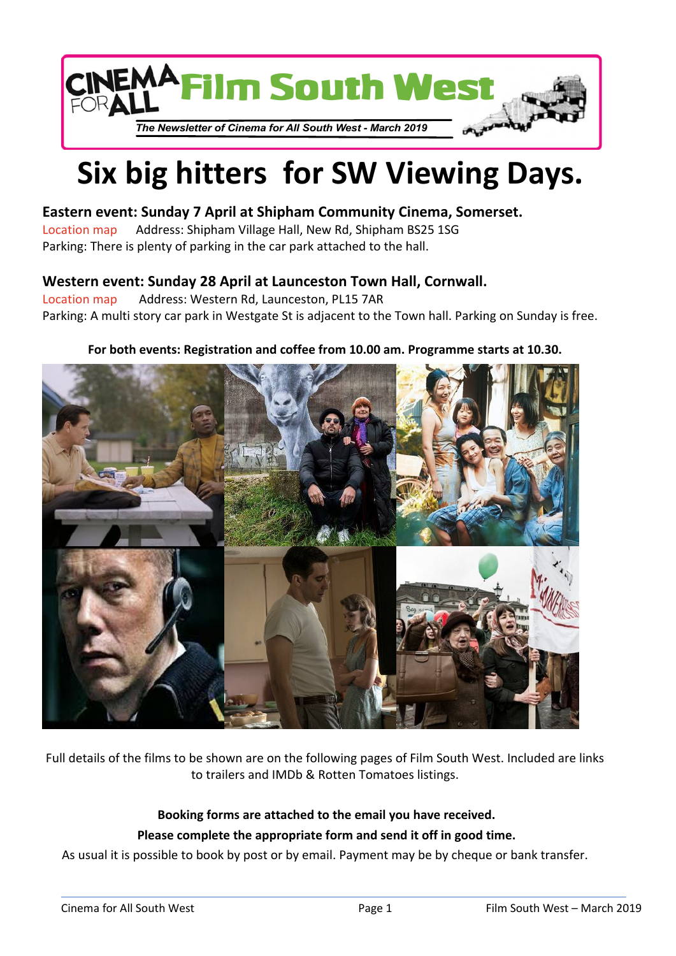

# **Six big hitters for SW Viewing Days.**

## **Eastern event: Sunday 7 April at Shipham Community Cinema, Somerset.**

[Location map](http://www.shiphamhall.co.uk/directions/map) Address: Shipham Village Hall, New Rd, Shipham BS25 1SG Parking: There is plenty of parking in the car park attached to the hall.

## **Western event: Sunday 28 April at Launceston Town Hall, Cornwall.**

[Location map](https://www.openstreetmap.org/?mlat=50.6339&mlon=-4.3619#map=18/50.63589/-4.36223) Address: Western Rd, Launceston, PL15 7AR Parking: A multi story car park in Westgate St is adjacent to the Town hall. Parking on Sunday is free.

## **For both events: Registration and coffee from 10.00 am. Programme starts at 10.30.**



Full details of the films to be shown are on the following pages of Film South West. Included are links to trailers and IMDb & Rotten Tomatoes listings.

## **Booking forms are attached to the email you have received. Please complete the appropriate form and send it off in good time.**

As usual it is possible to book by post or by email. Payment may be by cheque or bank transfer.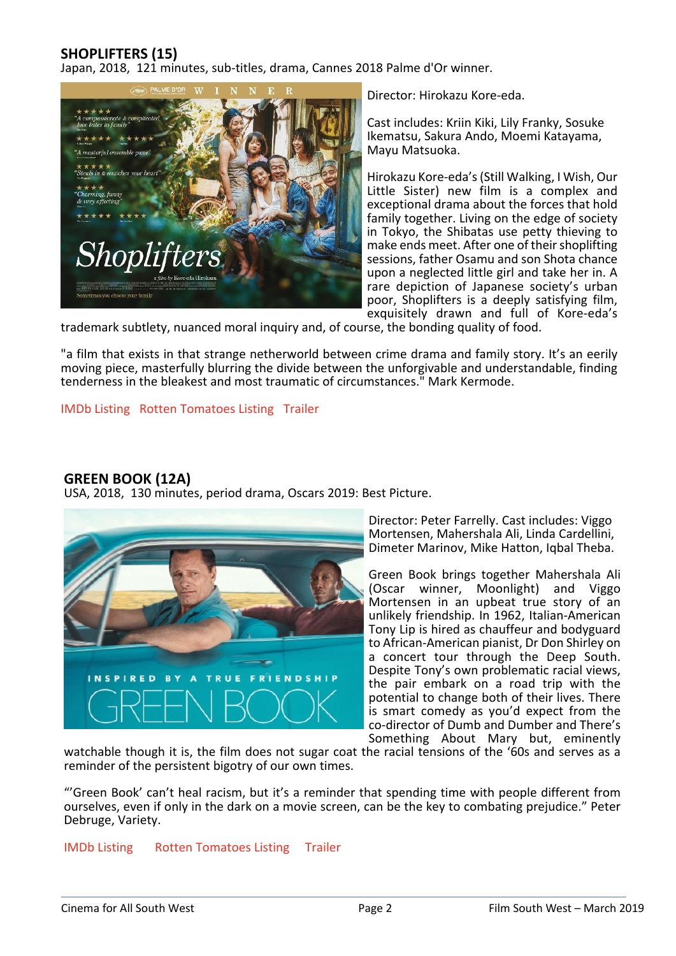## **SHOPLIFTERS (15)**

Japan, 2018, 121 minutes, sub-titles, drama, Cannes 2018 Palme d'Or winner.



Director: Hirokazu Kore-eda.

Cast includes: Kriin Kiki, Lily Franky, Sosuke Ikematsu, Sakura Ando, Moemi Katayama, Mayu Matsuoka.

Hirokazu Kore-eda's (Still Walking, I Wish, Our Little Sister) new film is a complex and exceptional drama about the forces that hold family together. Living on the edge of society in Tokyo, the Shibatas use petty thieving to make ends meet. After one of their shoplifting sessions, father Osamu and son Shota chance upon a neglected little girl and take her in. A rare depiction of Japanese society's urban poor, Shoplifters is a deeply satisfying film, exquisitely drawn and full of Kore-eda's

trademark subtlety, nuanced moral inquiry and, of course, the bonding quality of food.

"a film that exists in that strange netherworld between crime drama and family story. It's an eerily moving piece, masterfully blurring the divide between the unforgivable and understandable, finding tenderness in the bleakest and most traumatic of circumstances." Mark Kermode.

#### [IMDb Listing](https://www.imdb.com/title/tt8075192/?ref_=fn_al_tt_1) [Rotten Tomatoes Listing](https://www.rottentomatoes.com/m/shoplifters) [Trailer](https://www.youtube.com/watch?v=Rwcb5ki1f-4)

### **GREEN BOOK (12A)**

USA, 2018, 130 minutes, period drama, Oscars 2019: Best Picture.



Director: Peter Farrelly. Cast includes: Viggo Mortensen, Mahershala Ali, Linda Cardellini, Dimeter Marinov, Mike Hatton, Iqbal Theba.

Green Book brings together Mahershala Ali (Oscar winner, Moonlight) and Viggo Mortensen in an upbeat true story of an unlikely friendship. In 1962, Italian-American Tony Lip is hired as chauffeur and bodyguard to African-American pianist, Dr Don Shirley on a concert tour through the Deep South. Despite Tony's own problematic racial views, the pair embark on a road trip with the potential to change both of their lives. There is smart comedy as you'd expect from the co-director of Dumb and Dumber and There's Something About Mary but, eminently

watchable though it is, the film does not sugar coat the racial tensions of the '60s and serves as a reminder of the persistent bigotry of our own times.

"'Green Book' can't heal racism, but it's a reminder that spending time with people different from ourselves, even if only in the dark on a movie screen, can be the key to combating prejudice." Peter Debruge, Variety.

#### [IMDb Listing](https://www.imdb.com/title/tt6966692/?ref_=fn_al_tt_1) [Rotten Tomatoes Listing](https://www.rottentomatoes.com/m/green_book) [Trailer](https://www.youtube.com/watch?v=QkZxoko_HC0)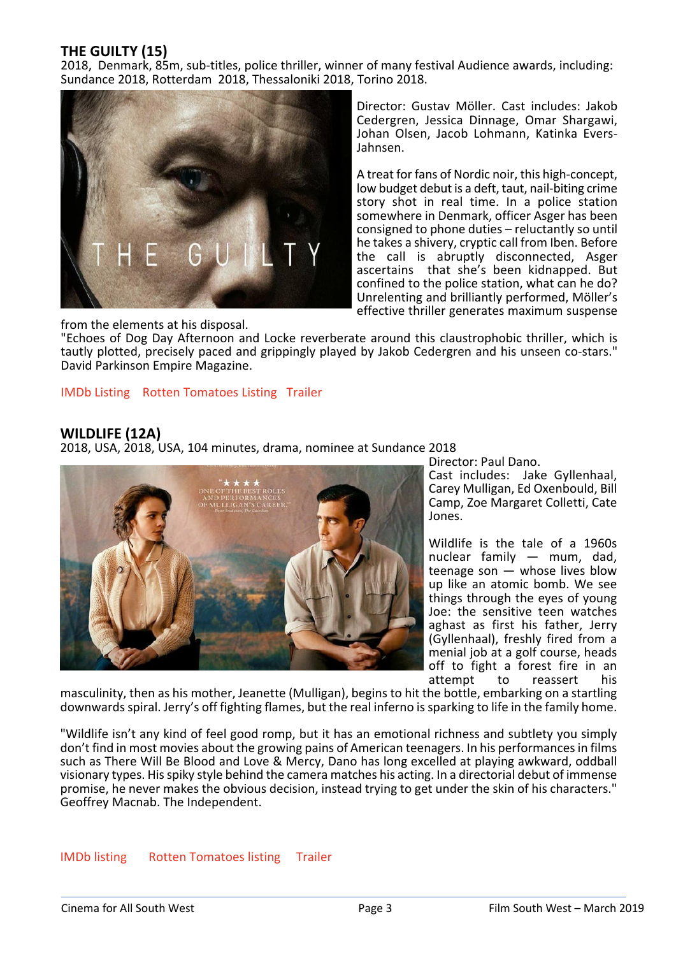## **THE GUILTY (15)**

2018, Denmark, 85m, sub-titles, police thriller, winner of many festival Audience awards, including: Sundance 2018, Rotterdam 2018, Thessaloniki 2018, Torino 2018.



Director: Gustav Möller. Cast includes: Jakob Cedergren, Jessica Dinnage, Omar Shargawi, Johan Olsen, Jacob Lohmann, Katinka Evers-Jahnsen.

A treat for fans of Nordic noir, this high-concept, low budget debut is a deft, taut, nail-biting crime story shot in real time. In a police station somewhere in Denmark, officer Asger has been consigned to phone duties – reluctantly so until he takes a shivery, cryptic call from Iben. Before the call is abruptly disconnected, Asger ascertains that she's been kidnapped. But confined to the police station, what can he do? Unrelenting and brilliantly performed, Möller's effective thriller generates maximum suspense

from the elements at his disposal.

"Echoes of Dog Day Afternoon and Locke reverberate around this claustrophobic thriller, which is tautly plotted, precisely paced and grippingly played by Jakob Cedergren and his unseen co-stars." David Parkinson Empire Magazine.

[IMDb Listing](https://www.imdb.com/title/tt6742252/?ref_=nv_sr_1) [Rotten Tomatoes Listing](https://www.rottentomatoes.com/m/the_guilty_2018) [Trailer](https://www.youtube.com/watch?v=abaoKA6rn5k)

#### **WILDLIFE (12A)**

2018, USA, 2018, USA, 104 minutes, drama, nominee at Sundance 2018



Director: Paul Dano.

Cast includes: Jake Gyllenhaal, Carey Mulligan, Ed Oxenbould, Bill Camp, Zoe Margaret Colletti, Cate Jones.

Wildlife is the tale of a 1960s nuclear family — mum, dad, teenage son — whose lives blow up like an atomic bomb. We see things through the eyes of young Joe: the sensitive teen watches aghast as first his father, Jerry (Gyllenhaal), freshly fired from a menial job at a golf course, heads off to fight a forest fire in an attempt to reassert his

masculinity, then as his mother, Jeanette (Mulligan), begins to hit the bottle, embarking on a startling downwards spiral. Jerry's off fighting flames, but the real inferno is sparking to life in the family home.

"Wildlife isn't any kind of feel good romp, but it has an emotional richness and subtlety you simply don't find in most movies about the growing pains of American teenagers. In his performances in films such as There Will Be Blood and Love & Mercy, Dano has long excelled at playing awkward, oddball visionary types. His spiky style behind the camera matches his acting. In a directorial debut of immense promise, he never makes the obvious decision, instead trying to get under the skin of his characters." Geoffrey Macnab. The Independent.

[IMDb listing](https://www.imdb.com/title/tt5929754/?ref_=nv_sr_1) [Rotten Tomatoes listing](https://www.rottentomatoes.com/m/wildlife_2018) [Trailer](https://www.youtube.com/watch?v=jU6FcIc0Ya8)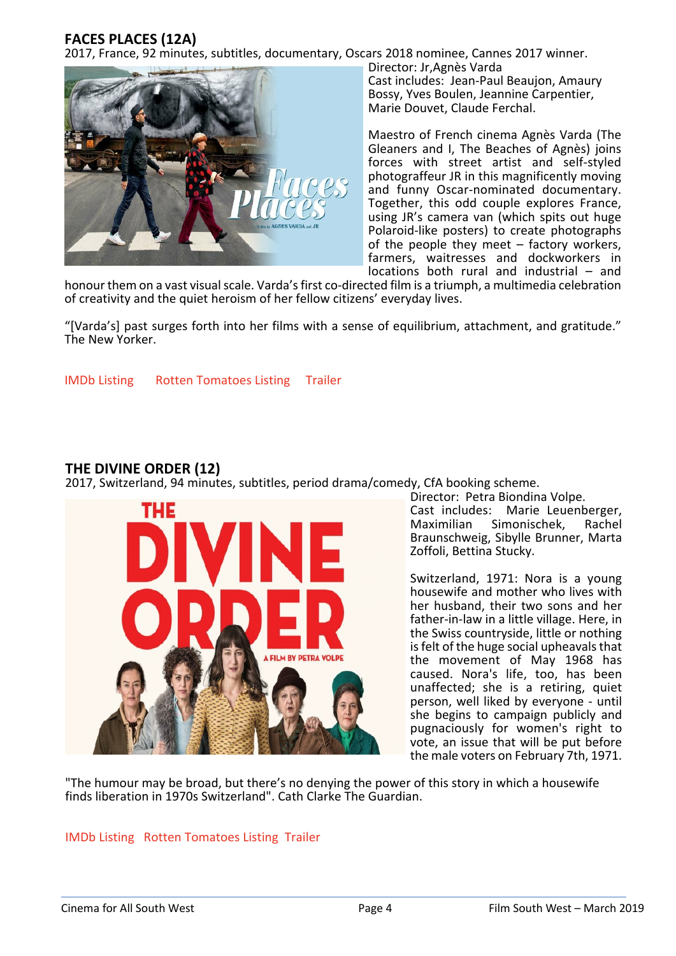## **FACES PLACES (12A)**

2017, France, 92 minutes, subtitles, documentary, Oscars 2018 nominee, Cannes 2017 winner.



Director: Jr,Agnès Varda Cast includes: Jean-Paul Beaujon, Amaury Bossy, Yves Boulen, Jeannine Carpentier, Marie Douvet, Claude Ferchal.

Maestro of French cinema Agnès Varda (The Gleaners and I, The Beaches of Agnès) joins forces with street artist and self-styled photograffeur JR in this magnificently moving and funny Oscar-nominated documentary. Together, this odd couple explores France, using JR's camera van (which spits out huge Polaroid-like posters) to create photographs of the people they meet – factory workers, farmers, waitresses and dockworkers in locations both rural and industrial – and

honour them on a vast visual scale. Varda's first co-directed film is a triumph, a multimedia celebration of creativity and the quiet heroism of her fellow citizens' everyday lives.

"[Varda's] past surges forth into her films with a sense of equilibrium, attachment, and gratitude." The New Yorker.

[IMDb Listing](https://www.imdb.com/title/tt5598102/?ref_=fn_al_tt_1) [Rotten Tomatoes Listing](https://www.rottentomatoes.com/m/faces_places) [Trailer](https://www.youtube.com/watch?v=5MC5E4Y_amA)

## **THE DIVINE ORDER (12)**

2017, Switzerland, 94 minutes, subtitles, period drama/comedy, CfA booking scheme.



Director: Petra Biondina Volpe. Cast includes: Marie Leuenberger, Maximilian Simonischek, Rachel Braunschweig, Sibylle Brunner, Marta Zoffoli, Bettina Stucky.

Switzerland, 1971: Nora is a young housewife and mother who lives with her husband, their two sons and her father-in-law in a little village. Here, in the Swiss countryside, little or nothing is felt of the huge social upheavals that the movement of May 1968 has caused. Nora's life, too, has been unaffected; she is a retiring, quiet person, well liked by everyone - until she begins to campaign publicly and pugnaciously for women's right to vote, an issue that will be put before the male voters on February 7th, 1971.

"The humour may be broad, but there's no denying the power of this story in which a housewife finds liberation in 1970s Switzerland". Cath Clarke The Guardian.

#### [IMDb Listing](https://www.imdb.com/title/tt5818818/?ref_=nv_sr_1) [Rotten Tomatoes Listing](https://www.rottentomatoes.com/m/the_divine_order) [Trailer](https://www.youtube.com/watch?v=oUKEjCeJQmE)